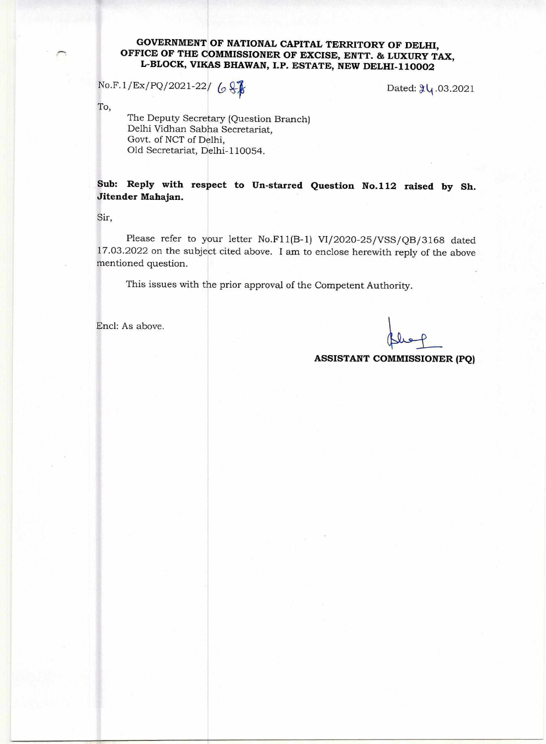## **GOVERNMENT OF NATIONAL CAPITAL TERRITORY OF DELHI, OFFICE OF THE COMMISSIONER OF EXCISE, ENTT. & LUXURY TAX, L-BLOCK, VIKAS BHAWAN, I.P. ESTATE, NEW DELHI-110002**

 $No.F.1/Ex/PO/2021-22/68$ 

To,

The Deputy Secretary (Question Branch) Delhi Vidhan Sabha Secretariat, Govt. of NCT of Delhi, Old Secretariat, Delhi-110054.

**Sub: Reply with respect to Un-starred Question No.112 raised by Sh. Jitender Mahajan.** 

Sir,

Please refer to your letter No.F11(B-1) VI/2020-25/VSS/QB/3168 dated 17.03.2022 on the subject cited above. I am to enclose herewith reply of the above mentioned question.

This issues with the prior approval of the Competent Authority.

Encl: As above.

**ASSISTANT COMMISSIONER (PQ)**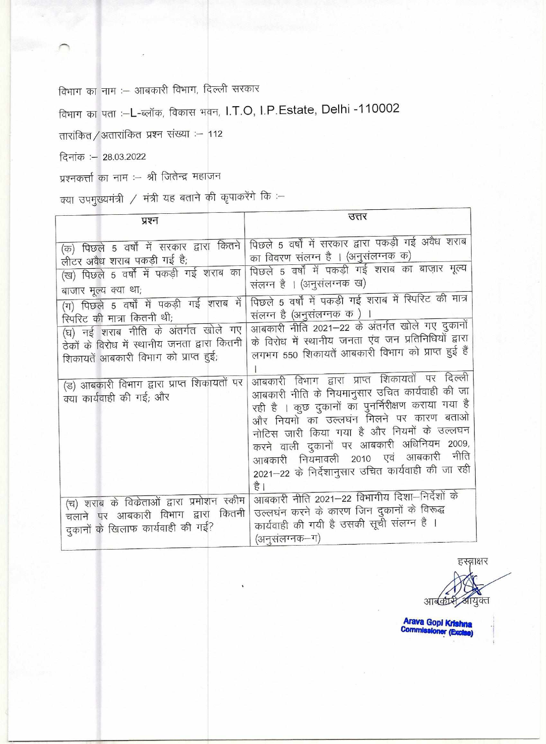विभाग का नाम :- आबकारी विभाग, दिल्ली सरकार

विभाग का पता :-L-ब्लॉक, विकास भवन, I.T.O, I.P.Estate, Delhi -110002

तारांकित / अतारांकित प्रश्न संख्या :- 112

दिनांक :- 28.03.2022

प्रश्नकर्त्ता का नाम :– श्री जितेन्द्र महाजन

क्या उपमुख्यमंत्री / मंत्री यह बताने की कृपाकरेंगे कि :-

| प्रश्न                                                                                                                                                                                                                                                                                                                                                                                                                            | उत्तर                                                                                                                                                                                                                                                                                                                                                                                                                                                                                                                                                                                                                                                                                                                                                                                                                                |
|-----------------------------------------------------------------------------------------------------------------------------------------------------------------------------------------------------------------------------------------------------------------------------------------------------------------------------------------------------------------------------------------------------------------------------------|--------------------------------------------------------------------------------------------------------------------------------------------------------------------------------------------------------------------------------------------------------------------------------------------------------------------------------------------------------------------------------------------------------------------------------------------------------------------------------------------------------------------------------------------------------------------------------------------------------------------------------------------------------------------------------------------------------------------------------------------------------------------------------------------------------------------------------------|
| (क) पिछले 5 वर्षों में सरकार द्वारा कितने<br>लीटर अवैध शराब पकड़ी गई है;<br>(ख) पिछले 5 वर्षों में पकड़ी गई शराब का<br>बाजार मूल्य क्या था;<br>(ग) पिछले 5 वर्षों में पकड़ी गई शराब में<br>स्पिरिट की मात्रा कितनी थी;<br>(घ) नई शराब नीति के अंतर्गत खोले गए<br>ठेकों के विरोध में स्थानीय जनता द्वारा कितनी<br>शिकायतें आबकारी विभाग को प्राप्त हुई;<br>(ड) आबकारी विभाग द्वारा प्राप्त शिकायतों पर<br>क्या कार्यवाही की गई; और | पिछले 5 वर्षों में सरकार द्वारा पकड़ी गई अवैध शराब<br>का विवरण संलग्न है । (अनुसंलग्नक क)<br>पिछले 5 वर्षों में पकड़ी गई शराब का बाज़ार मूल्य<br>संलग्न है । (अनुसंलग्नक ख)<br>पिछले 5 वर्षों में पकड़ी गई शराब में स्पिरिट की मात्र<br>संलग्न है (अनुसंलग्नक क)<br>आबकारी नीति 2021–22 के अंतर्गत खोले गए दुकानों<br>के विरोध में स्थानीय जनता एंव जन प्रतिनिधियों द्वारा<br>लगभग 550 शिकायतें आबकारी विभाग को प्राप्त हुई हैं<br>आबकारी विभाग द्वारा प्राप्त शिकायतों पर दिल्ली<br>आबकारी नीति के नियमानुसार उचित कार्यवाही की जा<br>रही है । कुछ दुकानों का पुनर्निरीक्षण कराया गया है<br>और नियमों का उल्लघंन मिलने पर कारण बताओ<br>नोटिस जारी किया गया है और नियमों के उल्लघन<br>करने वाली दुकानों पर आबकारी अधिनियम 2009,<br>आबकारी नियमावली 2010 एवं आबकारी नीति<br>2021–22 के निर्देशानुसार उचित कार्यवाही की जा रही<br>है । |
| (च) शराब के विकेताओं द्वारा प्रमोशन स्कीम<br>कितनी<br>चलाने पर आबकारी विभाग द्वारा<br>दुकानों के खिलाफ कार्यवाही की गई?                                                                                                                                                                                                                                                                                                           | आबकारी नीति 2021-22 विभागीय दिशा-निर्देशों के<br>उल्लघंन करने के कारण जिन दुकानों के विरूद्ध<br>कार्यवाही की गयी है उसकी सूची संलग्न है ।<br>(अनसंलग्नक–ग)                                                                                                                                                                                                                                                                                                                                                                                                                                                                                                                                                                                                                                                                           |

हस्नाक्षर आर्बकर्म आयुक्त

Arava Gopi Krishna<br>Commissioner (Exclas)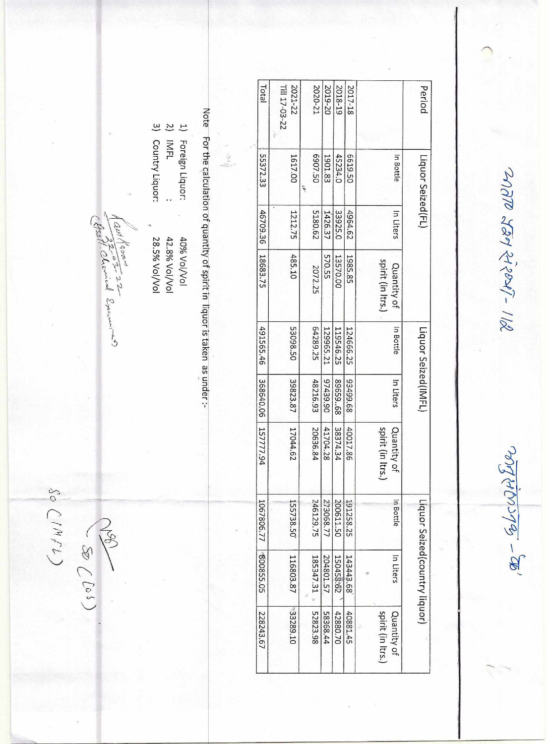$\frac{1}{2410}$  SEP  $\frac{1}{299}$  Ferrit

 $\mathscr{A} - \frac{61}{2400}$ 

| Period                   | Liquor Seized(FL) |           |                                  | Liquor Seized(IMFL) |           |                                 |            | Liquor Seized(country liquor) |                                  |
|--------------------------|-------------------|-----------|----------------------------------|---------------------|-----------|---------------------------------|------------|-------------------------------|----------------------------------|
|                          | In Bottle         | In Liters | spirit (in Itrs.)<br>Quantity of | In Bottle           | In Liters | spirit (in Itrs.<br>Quantity of | n Bottle   | In Liters                     | spirit (in Itrs.)<br>Quantity of |
|                          |                   |           |                                  |                     |           |                                 |            |                               |                                  |
| 2017-18                  | 6619.50           | 4964.62   | 1985.85                          | 124666.25           | 89.66456  | 40017.86                        | 191258.25  | 143443.68                     | 40881.45                         |
| 2018-19                  | 45234.0           | 33925.0   | 13570.00                         | 119546.25           | 89659.68  | 38374.34                        | 200611.50  | 150458.62                     | 42880.70                         |
| 2019-20                  | 1901.83           | 1426.37   | 570.55                           | 129965.21           | 97439.90  | 41704.28                        | 273068.77  | 204801.57                     | 58368.44                         |
| 2020-21                  | 6907.50           | 5180.62   | 2072.25                          | 64289.25            | 48216.93  | 20636.84                        | 246129.75  | 185347.31                     | 52823.98                         |
| 2021-22<br>TIII 17-03-22 | 1617.00           | 1212.75   | 485.10                           | 53098.50            | 39823.87  | 17044.62                        | 155738.50  | 116803.87                     | 33289.10                         |
| Total                    | 55372.33          | 46709.36  | 18683.75                         | 491565.46           | 368640.06 | 157777.94                       | 1067806.77 | 800855.05                     | 228243.67                        |

Note For the calculation of quantity of spirit in liquor is taken as under :-

1) Foreign Liquor:<br>2) IMFL<br>2) IMFL 3) Country Liquor: 28.5% Vol/Vol 42.8% Vol/Vol 40% Vol/Vol

fast Room 222<br>fast Roberical Exemines

 $SO(14/1)$ 

 $(507)$   $(507)$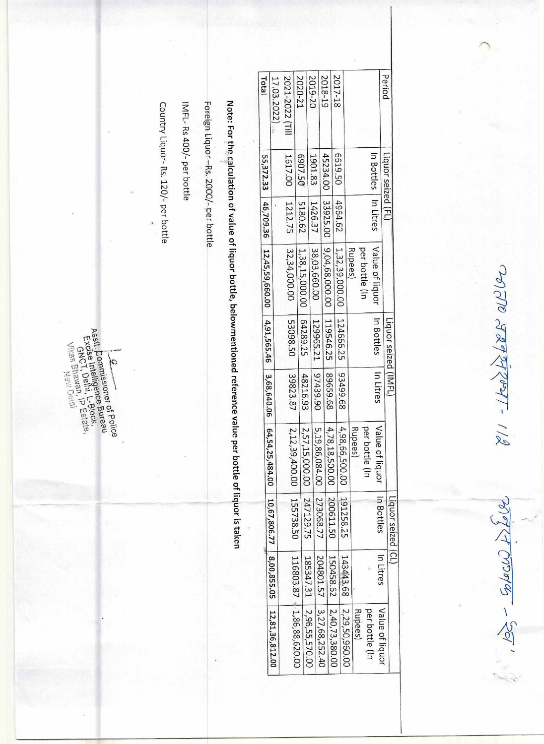$19920888011-118$ 

 $\mathscr{L}_{\mathscr{A}}(q)$ 

| Period          | Liquor seized (FL) |         |                                       | Liquor seized (IMFL) |           |                                                                                                                                      | Liquor seized (CL) |           |                              |
|-----------------|--------------------|---------|---------------------------------------|----------------------|-----------|--------------------------------------------------------------------------------------------------------------------------------------|--------------------|-----------|------------------------------|
|                 | In Litres          |         | Value of liquor                       | In Bottles           | In Litres | Value of liquor                                                                                                                      | In Bottles         | In Litres | Value of liquor              |
|                 |                    |         | per bottle (In                        |                      |           | per bottle<br>Ξ                                                                                                                      |                    |           | per bottle (In               |
|                 |                    |         |                                       |                      |           | Rupees)                                                                                                                              |                    |           | Rupees)                      |
|                 |                    |         | Rupees)                               |                      |           |                                                                                                                                      |                    |           | 2,29,50,960.00               |
| 2017-18         | 6619.50            | 4964.62 | 1,32,39,000.00                        | 124666.25            | 83499.68  | 4,98,66,500.00                                                                                                                       | 191258.25          | 143443.68 |                              |
|                 |                    |         |                                       |                      | 89.659.68 | 4,78,18,500.00   200611.50                                                                                                           |                    |           | $150458.62$   2,40,73,380.00 |
| 2018-19         | 45234.00           |         | 33925.00   9,04,68,000.00   119546.25 |                      |           |                                                                                                                                      |                    |           | 204801.57 3,27,68,252.40     |
| 2019-20         | 1901.83            | 1426.37 | 38,03,660.00                          | 129965.21            | 97439.90  | 5,19,86,084.00   273068.77                                                                                                           |                    |           |                              |
|                 |                    |         |                                       |                      |           | 2,57,15,000.00   247129.75                                                                                                           |                    |           | 185347.31   2,96,55,570.00   |
| 2020-21         | 6907.50            | 5180.62 | 1,38,15,000.00                        | 64289.25             | 48216.93  |                                                                                                                                      |                    |           |                              |
|                 |                    | 1212.75 | 32,34,000.00                          | 53098.50             | 39823.87  | $ 2,12,39,400.00 $ 155738.50   116803.87   1,86,88,620.00                                                                            |                    |           |                              |
| 2021-2022 [Till | 1617.00            |         |                                       |                      |           |                                                                                                                                      |                    |           |                              |
| 17.03.2022)     |                    |         |                                       |                      |           |                                                                                                                                      |                    |           |                              |
| Total           |                    |         |                                       |                      |           | 55,372.33   46,709.36   12,45,59,660.00   4,91,565.46   3,68,640.06   64,54,25,484.00   10,67,806.77   8,00,855.05   12,81,36,812.00 |                    |           |                              |

Note: For the calculation of value of liquor bottle, belowmentioned reference value per bottle of liquor is taken

Foreign Liquor-Rs. 2000/- per bottle

IMFL-Rs 400/- per bottle

Country Liquor-Rs. 120/- per bottle